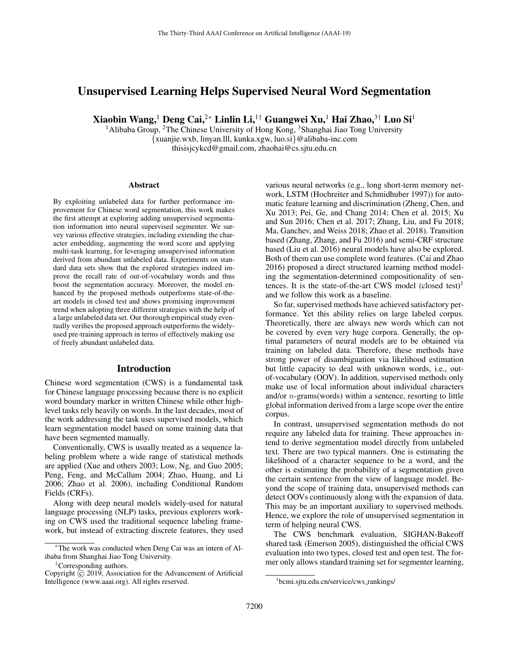# Unsupervised Learning Helps Supervised Neural Word Segmentation

Xiaobin Wang,<sup>1</sup> Deng Cai,<sup>2</sup>\* Linlin Li,<sup>1†</sup> Guangwei Xu,<sup>1</sup> Hai Zhao,<sup>3†</sup> Luo Si<sup>1</sup>

<sup>1</sup> Alibaba Group, <sup>2</sup>The Chinese University of Hong Kong, <sup>3</sup> Shanghai Jiao Tong University {xuanjie.wxb, linyan.lll, kunka.xgw, luo.si}@alibaba-inc.com thisisjcykcd@gmail.com, zhaohai@cs.sjtu.edu.cn

#### Abstract

By exploiting unlabeled data for further performance improvement for Chinese word segmentation, this work makes the first attempt at exploring adding unsupervised segmentation information into neural supervised segmenter. We survey various effective strategies, including extending the character embedding, augmenting the word score and applying multi-task learning, for leveraging unsupervised information derived from abundant unlabeled data. Experiments on standard data sets show that the explored strategies indeed improve the recall rate of out-of-vocabulary words and thus boost the segmentation accuracy. Moreover, the model enhanced by the proposed methods outperforms state-of-theart models in closed test and shows promising improvement trend when adopting three different strategies with the help of a large unlabeled data set. Our thorough empirical study eventually verifies the proposed approach outperforms the widelyused pre-training approach in terms of effectively making use of freely abundant unlabeled data.

#### Introduction

Chinese word segmentation (CWS) is a fundamental task for Chinese language processing because there is no explicit word boundary marker in written Chinese while other highlevel tasks rely heavily on words. In the last decades, most of the work addressing the task uses supervised models, which learn segmentation model based on some training data that have been segmented manually.

Conventionally, CWS is usually treated as a sequence labeling problem where a wide range of statistical methods are applied (Xue and others 2003; Low, Ng, and Guo 2005; Peng, Feng, and McCallum 2004; Zhao, Huang, and Li 2006; Zhao et al. 2006), including Conditional Random Fields (CRFs).

Along with deep neural models widely-used for natural language processing (NLP) tasks, previous explorers working on CWS used the traditional sequence labeling framework, but instead of extracting discrete features, they used

various neural networks (e.g., long short-term memory network, LSTM (Hochreiter and Schmidhuber 1997)) for automatic feature learning and discrimination (Zheng, Chen, and Xu 2013; Pei, Ge, and Chang 2014; Chen et al. 2015; Xu and Sun 2016; Chen et al. 2017; Zhang, Liu, and Fu 2018; Ma, Ganchev, and Weiss 2018; Zhao et al. 2018). Transition based (Zhang, Zhang, and Fu 2016) and semi-CRF structure based (Liu et al. 2016) neural models have also be explored. Both of them can use complete word features. (Cai and Zhao 2016) proposed a direct structured learning method modeling the segmentation-determined compositionality of sentences. It is the state-of-the-art CWS model (closed test)<sup>1</sup> and we follow this work as a baseline.

So far, supervised methods have achieved satisfactory performance. Yet this ability relies on large labeled corpus. Theoretically, there are always new words which can not be covered by even very huge corpora. Generally, the optimal parameters of neural models are to be obtained via training on labeled data. Therefore, these methods have strong power of disambiguation via likelihood estimation but little capacity to deal with unknown words, i.e., outof-vocabulary (OOV). In addition, supervised methods only make use of local information about individual characters and/or n-grams(words) within a sentence, resorting to little global information derived from a large scope over the entire corpus.

In contrast, unsupervised segmentation methods do not require any labeled data for training. These approaches intend to derive segmentation model directly from unlabeled text. There are two typical manners. One is estimating the likelihood of a character sequence to be a word, and the other is estimating the probability of a segmentation given the certain sentence from the view of language model. Beyond the scope of training data, unsupervised methods can detect OOVs continuously along with the expansion of data. This may be an important auxiliary to supervised methods. Hence, we explore the role of unsupervised segmentation in term of helping neural CWS.

The CWS benchmark evaluation, SIGHAN-Bakeoff shared task (Emerson 2005), distinguished the official CWS evaluation into two types, closed test and open test. The former only allows standard training set for segmenter learning,

<sup>∗</sup>The work was conducted when Deng Cai was an intern of Alibaba from Shanghai Jiao Tong University.

<sup>†</sup>Corresponding authors.

Copyright  $\overline{c}$  2019, Association for the Advancement of Artificial Intelligence (www.aaai.org). All rights reserved.

<sup>1</sup> bcmi.sjtu.edu.cn/service/cws rankings/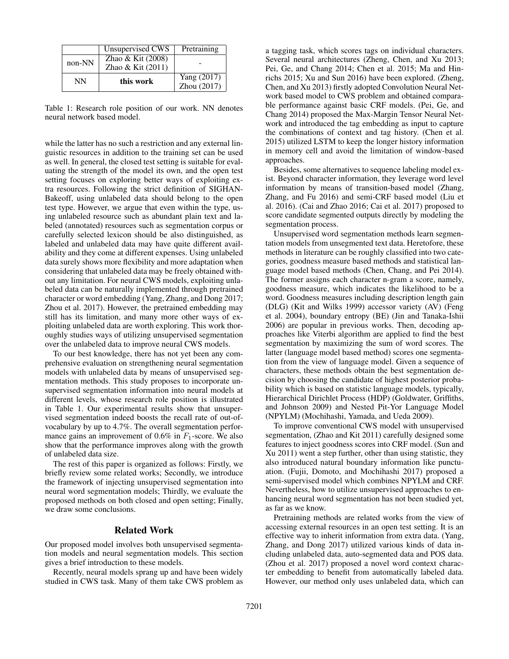|          | Unsupervised CWS                           | Pretraining                |
|----------|--------------------------------------------|----------------------------|
| $non-NN$ | Zhao $&$ Kit $(2008)$<br>Zhao & Kit (2011) |                            |
| NN       | this work                                  | Yang (2017)<br>Zhou (2017) |

Table 1: Research role position of our work. NN denotes neural network based model.

while the latter has no such a restriction and any external linguistic resources in addition to the training set can be used as well. In general, the closed test setting is suitable for evaluating the strength of the model its own, and the open test setting focuses on exploring better ways of exploiting extra resources. Following the strict definition of SIGHAN-Bakeoff, using unlabeled data should belong to the open test type. However, we argue that even within the type, using unlabeled resource such as abundant plain text and labeled (annotated) resources such as segmentation corpus or carefully selected lexicon should be also distinguished, as labeled and unlabeled data may have quite different availability and they come at different expenses. Using unlabeled data surely shows more flexibility and more adaptation when considering that unlabeled data may be freely obtained without any limitation. For neural CWS models, exploiting unlabeled data can be naturally implemented through pretrained character or word embedding (Yang, Zhang, and Dong 2017; Zhou et al. 2017). However, the pretrained embedding may still has its limitation, and many more other ways of exploiting unlabeled data are worth exploring. This work thoroughly studies ways of utilizing unsupervised segmentation over the unlabeled data to improve neural CWS models.

To our best knowledge, there has not yet been any comprehensive evaluation on strengthening neural segmentation models with unlabeled data by means of unsupervised segmentation methods. This study proposes to incorporate unsupervised segmentation information into neural models at different levels, whose research role position is illustrated in Table 1. Our experimental results show that unsupervised segmentation indeed boosts the recall rate of out-ofvocabulary by up to 4.7%. The overall segmentation performance gains an improvement of 0.6% in  $F_1$ -score. We also show that the performance improves along with the growth of unlabeled data size.

The rest of this paper is organized as follows: Firstly, we briefly review some related works; Secondly, we introduce the framework of injecting unsupervised segmentation into neural word segmentation models; Thirdly, we evaluate the proposed methods on both closed and open setting; Finally, we draw some conclusions.

## Related Work

Our proposed model involves both unsupervised segmentation models and neural segmentation models. This section gives a brief introduction to these models.

Recently, neural models sprang up and have been widely studied in CWS task. Many of them take CWS problem as

a tagging task, which scores tags on individual characters. Several neural architectures (Zheng, Chen, and Xu 2013; Pei, Ge, and Chang 2014; Chen et al. 2015; Ma and Hinrichs 2015; Xu and Sun 2016) have been explored. (Zheng, Chen, and Xu 2013) firstly adopted Convolution Neural Network based model to CWS problem and obtained comparable performance against basic CRF models. (Pei, Ge, and Chang 2014) proposed the Max-Margin Tensor Neural Network and introduced the tag embedding as input to capture the combinations of context and tag history. (Chen et al. 2015) utilized LSTM to keep the longer history information in memory cell and avoid the limitation of window-based approaches.

Besides, some alternatives to sequence labeling model exist. Beyond character information, they leverage word level information by means of transition-based model (Zhang, Zhang, and Fu 2016) and semi-CRF based model (Liu et al. 2016). (Cai and Zhao 2016; Cai et al. 2017) proposed to score candidate segmented outputs directly by modeling the segmentation process.

Unsupervised word segmentation methods learn segmentation models from unsegmented text data. Heretofore, these methods in literature can be roughly classified into two categories, goodness measure based methods and statistical language model based methods (Chen, Chang, and Pei 2014). The former assigns each character n-gram a score, namely, goodness measure, which indicates the likelihood to be a word. Goodness measures including description length gain (DLG) (Kit and Wilks 1999) accessor variety (AV) (Feng et al. 2004), boundary entropy (BE) (Jin and Tanaka-Ishii 2006) are popular in previous works. Then, decoding approaches like Viterbi algorithm are applied to find the best segmentation by maximizing the sum of word scores. The latter (language model based method) scores one segmentation from the view of language model. Given a sequence of characters, these methods obtain the best segmentation decision by choosing the candidate of highest posterior probability which is based on statistic language models, typically, Hierarchical Dirichlet Process (HDP) (Goldwater, Griffiths, and Johnson 2009) and Nested Pit-Yor Language Model (NPYLM) (Mochihashi, Yamada, and Ueda 2009).

To improve conventional CWS model with unsupervised segmentation, (Zhao and Kit 2011) carefully designed some features to inject goodness scores into CRF model. (Sun and Xu 2011) went a step further, other than using statistic, they also introduced natural boundary information like punctuation. (Fujii, Domoto, and Mochihashi 2017) proposed a semi-supervised model which combines NPYLM and CRF. Nevertheless, how to utilize unsupervised approaches to enhancing neural word segmentation has not been studied yet, as far as we know.

Pretraining methods are related works from the view of accessing external resources in an open test setting. It is an effective way to inherit information from extra data. (Yang, Zhang, and Dong 2017) utilized various kinds of data including unlabeled data, auto-segmented data and POS data. (Zhou et al. 2017) proposed a novel word context character embedding to benefit from automatically labeled data. However, our method only uses unlabeled data, which can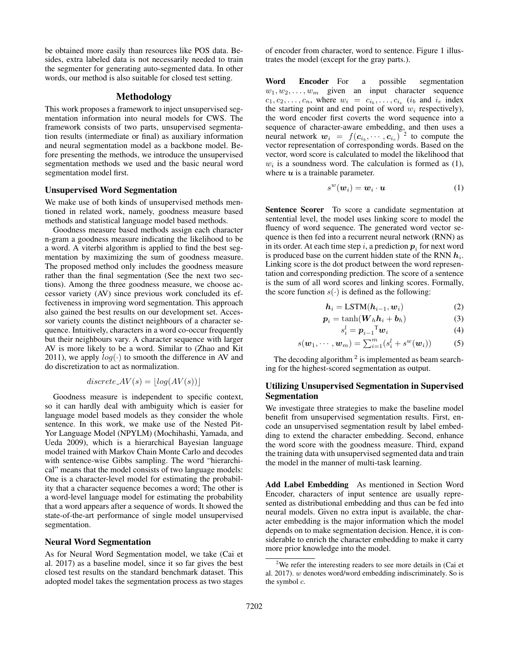be obtained more easily than resources like POS data. Besides, extra labeled data is not necessarily needed to train the segmenter for generating auto-segmented data. In other words, our method is also suitable for closed test setting.

## Methodology

This work proposes a framework to inject unsupervised segmentation information into neural models for CWS. The framework consists of two parts, unsupervised segmentation results (intermediate or final) as auxiliary information and neural segmentation model as a backbone model. Before presenting the methods, we introduce the unsupervised segmentation methods we used and the basic neural word segmentation model first.

#### Unsupervised Word Segmentation

We make use of both kinds of unsupervised methods mentioned in related work, namely, goodness measure based methods and statistical language model based methods.

Goodness measure based methods assign each character n-gram a goodness measure indicating the likelihood to be a word. A viterbi algorithm is applied to find the best segmentation by maximizing the sum of goodness measure. The proposed method only includes the goodness measure rather than the final segmentation (See the next two sections). Among the three goodness measure, we choose accessor variety (AV) since previous work concluded its effectiveness in improving word segmentation. This approach also gained the best results on our development set. Accessor variety counts the distinct neighbours of a character sequence. Intuitively, characters in a word co-occur frequently but their neighbours vary. A character sequence with larger AV is more likely to be a word. Similar to (Zhao and Kit 2011), we apply  $log(·)$  to smooth the difference in AV and do discretization to act as normalization.

$$
discrete \, \mathcal{A}V(s) = |\log(AV(s))|
$$

Goodness measure is independent to specific context, so it can hardly deal with ambiguity which is easier for language model based models as they consider the whole sentence. In this work, we make use of the Nested Pit-Yor Language Model (NPYLM) (Mochihashi, Yamada, and Ueda 2009), which is a hierarchical Bayesian language model trained with Markov Chain Monte Carlo and decodes with sentence-wise Gibbs sampling. The word "hierarchical" means that the model consists of two language models: One is a character-level model for estimating the probability that a character sequence becomes a word; The other is a word-level language model for estimating the probability that a word appears after a sequence of words. It showed the state-of-the-art performance of single model unsupervised segmentation.

## Neural Word Segmentation

As for Neural Word Segmentation model, we take (Cai et al. 2017) as a baseline model, since it so far gives the best closed test results on the standard benchmark dataset. This adopted model takes the segmentation process as two stages of encoder from character, word to sentence. Figure 1 illustrates the model (except for the gray parts.).

Word Encoder For a possible segmentation  $w_1, w_2, \ldots, w_m$  given an input character sequence  $c_1, c_2, \ldots, c_n$ , where  $w_i = c_{i_b}, \ldots, c_{i_e}$  (i<sub>b</sub> and  $i_e$  index the starting point and end point of word  $w_i$  respectively), the word encoder first coverts the word sequence into a sequence of character-aware embedding, and then uses a neural network  $\mathbf{w}_i = f(c_{i_b}, \cdots, c_{i_e})^{\top 2}$  to compute the vector representation of corresponding words. Based on the vector, word score is calculated to model the likelihood that  $w_i$  is a soundness word. The calculation is formed as (1), where  $u$  is a trainable parameter.

$$
s^w(\boldsymbol{w}_i) = \boldsymbol{w}_i \cdot \boldsymbol{u} \tag{1}
$$

Sentence Scorer To score a candidate segmentation at sentential level, the model uses linking score to model the fluency of word sequence. The generated word vector sequence is then fed into a recurrent neural network (RNN) as in its order. At each time step  $i$ , a prediction  $\boldsymbol{p}_i$  for next word is produced base on the current hidden state of the RNN  $h_i$ . Linking score is the dot product between the word representation and corresponding prediction. The score of a sentence is the sum of all word scores and linking scores. Formally, the score function  $s(\cdot)$  is defined as the following:

$$
\boldsymbol{h}_i = \text{LSTM}(\boldsymbol{h}_{i-1}, \boldsymbol{w}_i) \tag{2}
$$

$$
\boldsymbol{p}_i = \tanh(\boldsymbol{W}_h \boldsymbol{h}_i + \boldsymbol{b}_h)
$$
(3)

$$
s_i^l = \boldsymbol{p}_{i-1}^{\mathrm{T}} \boldsymbol{w}_i \tag{4}
$$

$$
s(\boldsymbol{w}_1,\cdots,\boldsymbol{w}_m)=\sum_{i=1}^m(s_i^l+s^w(\boldsymbol{w}_i))\qquad(5)
$$

The decoding algorithm<sup>2</sup> is implemented as beam searching for the highest-scored segmentation as output.

## Utilizing Unsupervised Segmentation in Supervised **Segmentation**

We investigate three strategies to make the baseline model benefit from unsupervised segmentation results. First, encode an unsupervised segmentation result by label embedding to extend the character embedding. Second, enhance the word score with the goodness measure. Third, expand the training data with unsupervised segmented data and train the model in the manner of multi-task learning.

Add Label Embedding As mentioned in Section Word Encoder, characters of input sentence are usually represented as distributional embedding and thus can be fed into neural models. Given no extra input is available, the character embedding is the major information which the model depends on to make segmentation decision. Hence, it is considerable to enrich the character embedding to make it carry more prior knowledge into the model.

<sup>&</sup>lt;sup>2</sup>We refer the interesting readers to see more details in (Cai et) al.  $2017$ ).  $w$  denotes word/word embedding indiscriminately. So is the symbol c.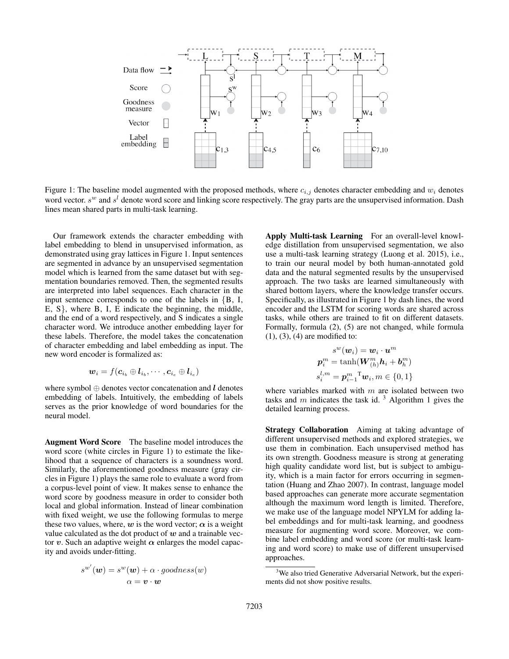

Figure 1: The baseline model augmented with the proposed methods, where  $c_{i,j}$  denotes character embedding and  $w_i$  denotes word vector.  $s^w$  and  $s^l$  denote word score and linking score respectively. The gray parts are the unsupervised information. Dash lines mean shared parts in multi-task learning.

Our framework extends the character embedding with label embedding to blend in unsupervised information, as demonstrated using gray lattices in Figure 1. Input sentences are segmented in advance by an unsupervised segmentation model which is learned from the same dataset but with segmentation boundaries removed. Then, the segmented results are interpreted into label sequences. Each character in the input sentence corresponds to one of the labels in {B, I, E, S}, where B, I, E indicate the beginning, the middle, and the end of a word respectively, and S indicates a single character word. We introduce another embedding layer for these labels. Therefore, the model takes the concatenation of character embedding and label embedding as input. The new word encoder is formalized as:

$$
\boldsymbol{w}_i = f(\boldsymbol{c}_{i_b} \oplus \boldsymbol{l}_{i_b}, \cdots, \boldsymbol{c}_{i_e} \oplus \boldsymbol{l}_{i_e})
$$

where symbol  $\oplus$  denotes vector concatenation and  $l$  denotes embedding of labels. Intuitively, the embedding of labels serves as the prior knowledge of word boundaries for the neural model.

Augment Word Score The baseline model introduces the word score (white circles in Figure 1) to estimate the likelihood that a sequence of characters is a soundness word. Similarly, the aforementioned goodness measure (gray circles in Figure 1) plays the same role to evaluate a word from a corpus-level point of view. It makes sense to enhance the word score by goodness measure in order to consider both local and global information. Instead of linear combination with fixed weight, we use the following formulas to merge these two values, where, w is the word vector;  $\alpha$  is a weight value calculated as the dot product of  $w$  and a trainable vector v. Such an adaptive weight  $\alpha$  enlarges the model capacity and avoids under-fitting.

$$
s^{w'}(\boldsymbol{w}) = s^w(\boldsymbol{w}) + \alpha \cdot goodness(w) \\ \alpha = \boldsymbol{v} \cdot \boldsymbol{w}
$$

Apply Multi-task Learning For an overall-level knowledge distillation from unsupervised segmentation, we also use a multi-task learning strategy (Luong et al. 2015), i.e., to train our neural model by both human-annotated gold data and the natural segmented results by the unsupervised approach. The two tasks are learned simultaneously with shared bottom layers, where the knowledge transfer occurs. Specifically, as illustrated in Figure 1 by dash lines, the word encoder and the LSTM for scoring words are shared across tasks, while others are trained to fit on different datasets. Formally, formula (2), (5) are not changed, while formula  $(1), (3), (4)$  are modified to:

$$
s^w(\boldsymbol{w}_i) = \boldsymbol{w}_i \cdot \boldsymbol{u}^m
$$

$$
\boldsymbol{p}_i^m = \tanh(\boldsymbol{W}_{(h)}^m \boldsymbol{h}_i + \boldsymbol{b}_h^m)
$$

$$
s_i^{l,m} = \boldsymbol{p}_{i-1}^m \mathbf{I} \boldsymbol{w}_i, m \in \{0, 1\}
$$

where variables marked with  $m$  are isolated between two tasks and m indicates the task id.<sup>3</sup> Algorithm 1 gives the detailed learning process.

Strategy Collaboration Aiming at taking advantage of different unsupervised methods and explored strategies, we use them in combination. Each unsupervised method has its own strength. Goodness measure is strong at generating high quality candidate word list, but is subject to ambiguity, which is a main factor for errors occurring in segmentation (Huang and Zhao 2007). In contrast, language model based approaches can generate more accurate segmentation although the maximum word length is limited. Therefore, we make use of the language model NPYLM for adding label embeddings and for multi-task learning, and goodness measure for augmenting word score. Moreover, we combine label embedding and word score (or multi-task learning and word score) to make use of different unsupervised approaches.

<sup>&</sup>lt;sup>3</sup>We also tried Generative Adversarial Network, but the experiments did not show positive results.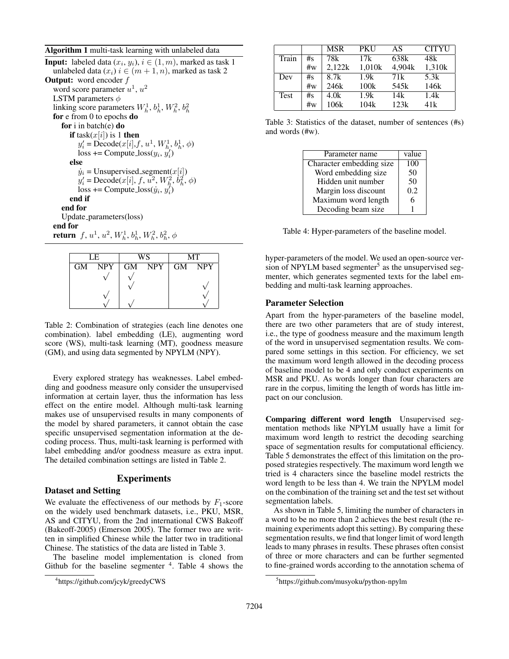Algorithm 1 multi-task learning with unlabeled data

| <b>Input:</b> labeled data $(x_i, y_i)$ , $i \in (1, m)$ , marked as task 1 |
|-----------------------------------------------------------------------------|
| unlabeled data $(x_i)$ $i \in (m+1, n)$ , marked as task 2                  |
| <b>Output:</b> word encoder $f$                                             |
| word score parameter $u^1$ , $u^2$                                          |
| LSTM parameters $\phi$                                                      |
| linking score parameters $W_h^1$ , $b_h^1$ , $W_h^2$ , $b_h^2$              |
| for $e$ from 0 to epochs do                                                 |
| for i in batch $(e)$ do                                                     |
| <b>if</b> task( $x[i]$ ) is 1 <b>then</b>                                   |
| $y'_i = \text{Decode}(x[i], f, u^1, W_h^1, b_h^1, \phi)$                    |
| $loss += Compute_loss(y_i, y'_i)$                                           |
| else                                                                        |
| $\dot{y}_i$ = Unsupervised_segment(x i )                                    |
| $y'_i = \text{Decode}(x[i], f, u^2, W_h^2, b_h^2, \phi)$                    |
| $loss += Compute_loss(ij_i, y'_i)$                                          |
| end if                                                                      |
| end for                                                                     |
| Update_parameters(loss)                                                     |
| end for                                                                     |
| <b>return</b> $f, u^1, u^2, W_h^1, b_h^1, W_h^2, b_h^2, \phi$               |
|                                                                             |

| LE.       |            | WS     | MТ                     |     |  |
|-----------|------------|--------|------------------------|-----|--|
| <b>GM</b> | <b>NPY</b> | GM NPY | $\overline{\text{GM}}$ | NPY |  |
|           |            |        |                        |     |  |
|           |            |        |                        |     |  |
|           |            |        |                        |     |  |
|           |            |        |                        |     |  |

Table 2: Combination of strategies (each line denotes one combination). label embedding (LE), augmenting word score (WS), multi-task learning (MT), goodness measure (GM), and using data segmented by NPYLM (NPY).

Every explored strategy has weaknesses. Label embedding and goodness measure only consider the unsupervised information at certain layer, thus the information has less effect on the entire model. Although multi-task learning makes use of unsupervised results in many components of the model by shared parameters, it cannot obtain the case specific unsupervised segmentation information at the decoding process. Thus, multi-task learning is performed with label embedding and/or goodness measure as extra input. The detailed combination settings are listed in Table 2.

## Experiments

#### Dataset and Setting

We evaluate the effectiveness of our methods by  $F_1$ -score on the widely used benchmark datasets, i.e., PKU, MSR, AS and CITYU, from the 2nd international CWS Bakeoff (Bakeoff-2005) (Emerson 2005). The former two are written in simplified Chinese while the latter two in traditional Chinese. The statistics of the data are listed in Table 3.

The baseline model implementation is cloned from Github for the baseline segmenter  $4$ . Table 4 shows the

|       |       | <b>MSR</b> | <b>PKU</b> | AS     | <b>CITYU</b> |
|-------|-------|------------|------------|--------|--------------|
| Train | $\#s$ | 78k        | 17k        | 638k   | 48k          |
|       | #w    | 2.122k     | 1,010k     | 4,904k | 1,310k       |
| Dev   | #s    | 8.7k       | 1.9k       | 71k    | 5.3k         |
|       | #w    | 246k       | 100k       | 545k   | 146k         |
| Test  | $\#s$ | 4.0k       | 1.9k       | 14k    | 1.4k         |
|       | #w    | 106k       | 104k       | 123k   | 41k          |

Table 3: Statistics of the dataset, number of sentences (#s) and words (#w).

| Parameter name            | value |
|---------------------------|-------|
| Character embedding size. | 100   |
| Word embedding size.      | 50    |
| Hidden unit number        | 50    |
| Margin loss discount      | 0.2   |
| Maximum word length       | 6     |
| Decoding beam size        |       |

Table 4: Hyper-parameters of the baseline model.

hyper-parameters of the model. We used an open-source version of NPYLM based segmenter<sup>5</sup> as the unsupervised segmenter, which generates segmented texts for the label embedding and multi-task learning approaches.

#### Parameter Selection

Apart from the hyper-parameters of the baseline model, there are two other parameters that are of study interest, i.e., the type of goodness measure and the maximum length of the word in unsupervised segmentation results. We compared some settings in this section. For efficiency, we set the maximum word length allowed in the decoding process of baseline model to be 4 and only conduct experiments on MSR and PKU. As words longer than four characters are rare in the corpus, limiting the length of words has little impact on our conclusion.

Comparing different word length Unsupervised segmentation methods like NPYLM usually have a limit for maximum word length to restrict the decoding searching space of segmentation results for computational efficiency. Table 5 demonstrates the effect of this limitation on the proposed strategies respectively. The maximum word length we tried is 4 characters since the baseline model restricts the word length to be less than 4. We train the NPYLM model on the combination of the training set and the test set without segmentation labels.

As shown in Table 5, limiting the number of characters in a word to be no more than 2 achieves the best result (the remaining experiments adopt this setting). By comparing these segmentation results, we find that longer limit of word length leads to many phrases in results. These phrases often consist of three or more characters and can be further segmented to fine-grained words according to the annotation schema of

<sup>4</sup> https://github.com/jcyk/greedyCWS

<sup>5</sup> https://github.com/musyoku/python-npylm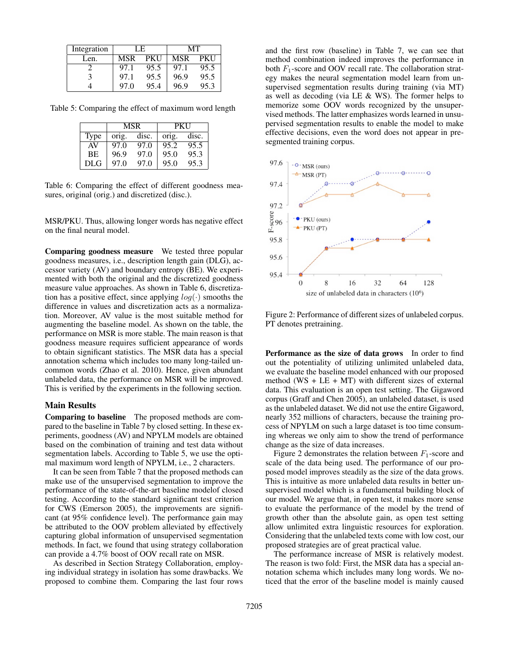| Integration | LE                       |      | MТ         |            |  |
|-------------|--------------------------|------|------------|------------|--|
| Len.        | <b>MSR</b><br><b>PKU</b> |      | <b>MSR</b> | <b>PKU</b> |  |
|             | 97.1                     | 95.5 | 97.1       | 95.5       |  |
|             | 97.1                     | 95.5 | 96.9       | 95.5       |  |
|             | 97 O                     | 95.4 | 96.9       | 95.3       |  |

Table 5: Comparing the effect of maximum word length

|            |                | MSR  | <b>PKU</b> |       |  |
|------------|----------------|------|------------|-------|--|
| Type       | disc.<br>orig. |      | orig.      | disc. |  |
| AV         | 97.0<br>97.0   |      | 95.2       | 95.5  |  |
| <b>BE</b>  | 96.9           | 97.0 | 95.0       | 95.3  |  |
| <b>DLG</b> | 97.0           | 97.0 | 95.0       | 95.3  |  |

Table 6: Comparing the effect of different goodness measures, original (orig.) and discretized (disc.).

MSR/PKU. Thus, allowing longer words has negative effect on the final neural model.

Comparing goodness measure We tested three popular goodness measures, i.e., description length gain (DLG), accessor variety (AV) and boundary entropy (BE). We experimented with both the original and the discretized goodness measure value approaches. As shown in Table 6, discretization has a positive effect, since applying  $log(·)$  smooths the difference in values and discretization acts as a normalization. Moreover, AV value is the most suitable method for augmenting the baseline model. As shown on the table, the performance on MSR is more stable. The main reason is that goodness measure requires sufficient appearance of words to obtain significant statistics. The MSR data has a special annotation schema which includes too many long-tailed uncommon words (Zhao et al. 2010). Hence, given abundant unlabeled data, the performance on MSR will be improved. This is verified by the experiments in the following section.

#### Main Results

Comparing to baseline The proposed methods are compared to the baseline in Table 7 by closed setting. In these experiments, goodness (AV) and NPYLM models are obtained based on the combination of training and test data without segmentation labels. According to Table 5, we use the optimal maximum word length of NPYLM, i.e., 2 characters.

It can be seen from Table 7 that the proposed methods can make use of the unsupervised segmentation to improve the performance of the state-of-the-art baseline modelof closed testing. According to the standard significant test criterion for CWS (Emerson 2005), the improvements are significant (at 95% confidence level). The performance gain may be attributed to the OOV problem alleviated by effectively capturing global information of unsupervised segmentation methods. In fact, we found that using strategy collaboration can provide a 4.7% boost of OOV recall rate on MSR.

As described in Section Strategy Collaboration, employing individual strategy in isolation has some drawbacks. We proposed to combine them. Comparing the last four rows

and the first row (baseline) in Table 7, we can see that method combination indeed improves the performance in both  $F_1$ -score and OOV recall rate. The collaboration strategy makes the neural segmentation model learn from unsupervised segmentation results during training (via MT) as well as decoding (via LE & WS). The former helps to memorize some OOV words recognized by the unsupervised methods. The latter emphasizes words learned in unsupervised segmentation results to enable the model to make effective decisions, even the word does not appear in presegmented training corpus.



Figure 2: Performance of different sizes of unlabeled corpus. PT denotes pretraining.

Performance as the size of data grows In order to find out the potentiality of utilizing unlimited unlabeled data, we evaluate the baseline model enhanced with our proposed method (WS +  $LE + MT$ ) with different sizes of external data. This evaluation is an open test setting. The Gigaword corpus (Graff and Chen 2005), an unlabeled dataset, is used as the unlabeled dataset. We did not use the entire Gigaword, nearly 352 millions of characters, because the training process of NPYLM on such a large dataset is too time consuming whereas we only aim to show the trend of performance change as the size of data increases.

Figure 2 demonstrates the relation between  $F_1$ -score and scale of the data being used. The performance of our proposed model improves steadily as the size of the data grows. This is intuitive as more unlabeled data results in better unsupervised model which is a fundamental building block of our model. We argue that, in open test, it makes more sense to evaluate the performance of the model by the trend of growth other than the absolute gain, as open test setting allow unlimited extra linguistic resources for exploration. Considering that the unlabeled texts come with low cost, our proposed strategies are of great practical value.

The performance increase of MSR is relatively modest. The reason is two fold: First, the MSR data has a special annotation schema which includes many long words. We noticed that the error of the baseline model is mainly caused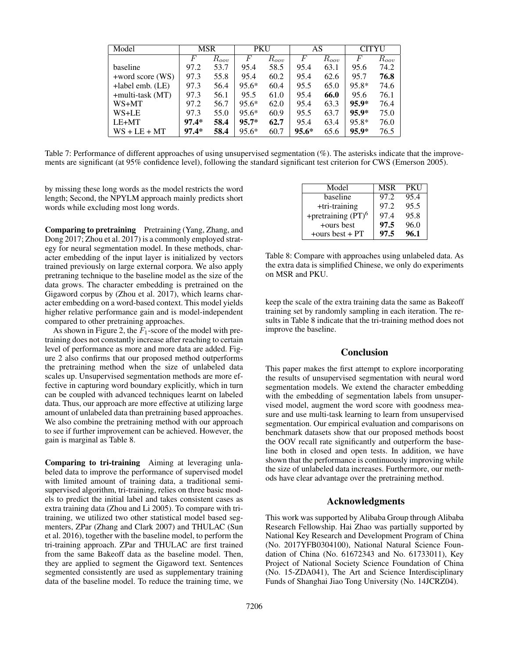| Model               | <b>MSR</b> |           | <b>PKU</b> |           | AS      |           | <b>CITYU</b> |           |
|---------------------|------------|-----------|------------|-----------|---------|-----------|--------------|-----------|
|                     | F          | $R_{oov}$ | F          | $R_{oov}$ | F       | $R_{oov}$ | F            | $R_{oov}$ |
| baseline            | 97.2       | 53.7      | 95.4       | 58.5      | 95.4    | 63.1      | 95.6         | 74.2      |
| +word score (WS)    | 97.3       | 55.8      | 95.4       | 60.2      | 95.4    | 62.6      | 95.7         | 76.8      |
| $+$ label emb. (LE) | 97.3       | 56.4      | $95.6*$    | 60.4      | 95.5    | 65.0      | $95.8*$      | 74.6      |
| +multi-task (MT)    | 97.3       | 56.1      | 95.5       | 61.0      | 95.4    | 66.0      | 95.6         | 76.1      |
| WS+MT               | 97.2       | 56.7      | $95.6*$    | 62.0      | 95.4    | 63.3      | $95.9*$      | 76.4      |
| WS+LE               | 97.3       | 55.0      | $95.6*$    | 60.9      | 95.5    | 63.7      | $95.9*$      | 75.0      |
| $LE+MT$             | $97.4*$    | 58.4      | $95.7*$    | 62.7      | 95.4    | 63.4      | 95.8*        | 76.0      |
| $WS + LE + MT$      | $97.4*$    | 58.4      | $95.6*$    | 60.7      | $95.6*$ | 65.6      | $95.9*$      | 76.5      |

Table 7: Performance of different approaches of using unsupervised segmentation (%). The asterisks indicate that the improvements are significant (at 95% confidence level), following the standard significant test criterion for CWS (Emerson 2005).

by missing these long words as the model restricts the word length; Second, the NPYLM approach mainly predicts short words while excluding most long words.

Comparing to pretraining Pretraining (Yang, Zhang, and Dong 2017; Zhou et al. 2017) is a commonly employed strategy for neural segmentation model. In these methods, character embedding of the input layer is initialized by vectors trained previously on large external corpora. We also apply pretraning technique to the baseline model as the size of the data grows. The character embedding is pretrained on the Gigaword corpus by (Zhou et al. 2017), which learns character embedding on a word-based context. This model yields higher relative performance gain and is model-independent compared to other pretraining approaches.

As shown in Figure 2, the  $F_1$ -score of the model with pretraining does not constantly increase after reaching to certain level of performance as more and more data are added. Figure 2 also confirms that our proposed method outperforms the pretraining method when the size of unlabeled data scales up. Unsupervised segmentation methods are more effective in capturing word boundary explicitly, which in turn can be coupled with advanced techniques learnt on labeled data. Thus, our approach are more effective at utilizing large amount of unlabeled data than pretraining based approaches. We also combine the pretraining method with our approach to see if further improvement can be achieved. However, the gain is marginal as Table 8.

Comparing to tri-training Aiming at leveraging unlabeled data to improve the performance of supervised model with limited amount of training data, a traditional semisupervised algorithm, tri-training, relies on three basic models to predict the initial label and takes consistent cases as extra training data (Zhou and Li 2005). To compare with tritraining, we utilized two other statistical model based segmenters, ZPar (Zhang and Clark 2007) and THULAC (Sun et al. 2016), together with the baseline model, to perform the tri-training approach. ZPar and THULAC are first trained from the same Bakeoff data as the baseline model. Then, they are applied to segment the Gigaword text. Sentences segmented consistently are used as supplementary training data of the baseline model. To reduce the training time, we

| Model                 | <b>MSR</b> | <b>PKU</b> |
|-----------------------|------------|------------|
| baseline              | 97.2       | 95.4       |
| $+tri$ -training      | 97.2       | 95.5       |
| +pretraining $(PT)^6$ | 97.4       | 95.8       |
| +ours best            | 97.5       | 96.0       |
| $+$ ours best $+$ PT  | 97.5       | 96.1       |

Table 8: Compare with approaches using unlabeled data. As the extra data is simplified Chinese, we only do experiments on MSR and PKU.

keep the scale of the extra training data the same as Bakeoff training set by randomly sampling in each iteration. The results in Table 8 indicate that the tri-training method does not improve the baseline.

## Conclusion

This paper makes the first attempt to explore incorporating the results of unsupervised segmentation with neural word segmentation models. We extend the character embedding with the embedding of segmentation labels from unsupervised model, augment the word score with goodness measure and use multi-task learning to learn from unsupervised segmentation. Our empirical evaluation and comparisons on benchmark datasets show that our proposed methods boost the OOV recall rate significantly and outperform the baseline both in closed and open tests. In addition, we have shown that the performance is continuously improving while the size of unlabeled data increases. Furthermore, our methods have clear advantage over the pretraining method.

## Acknowledgments

This work was supported by Alibaba Group through Alibaba Research Fellowship. Hai Zhao was partially supported by National Key Research and Development Program of China (No. 2017YFB0304100), National Natural Science Foundation of China (No. 61672343 and No. 61733011), Key Project of National Society Science Foundation of China (No. 15-ZDA041), The Art and Science Interdisciplinary Funds of Shanghai Jiao Tong University (No. 14JCRZ04).